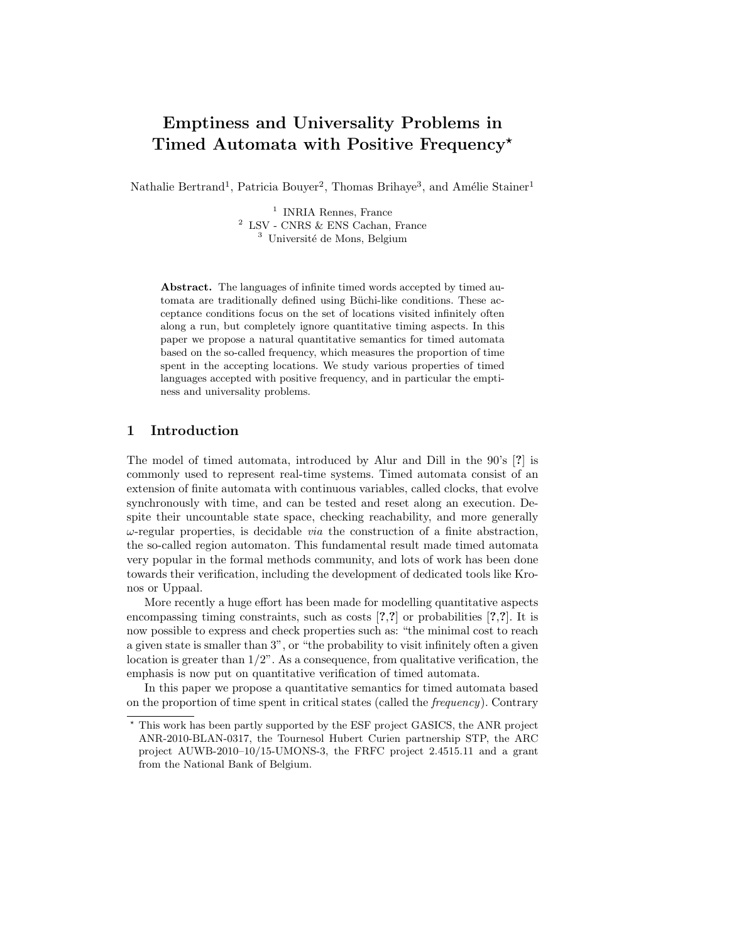# Emptiness and Universality Problems in Timed Automata with Positive Frequency<sup>\*</sup>

Nathalie Bertrand<sup>1</sup>, Patricia Bouyer<sup>2</sup>, Thomas Brihaye<sup>3</sup>, and Amélie Stainer<sup>1</sup>

<sup>1</sup> INRIA Rennes, France <sup>2</sup> LSV - CNRS & ENS Cachan, France <sup>3</sup> Université de Mons, Belgium

Abstract. The languages of infinite timed words accepted by timed automata are traditionally defined using Büchi-like conditions. These acceptance conditions focus on the set of locations visited infinitely often along a run, but completely ignore quantitative timing aspects. In this paper we propose a natural quantitative semantics for timed automata based on the so-called frequency, which measures the proportion of time spent in the accepting locations. We study various properties of timed languages accepted with positive frequency, and in particular the emptiness and universality problems.

# 1 Introduction

The model of timed automata, introduced by Alur and Dill in the 90's [?] is commonly used to represent real-time systems. Timed automata consist of an extension of finite automata with continuous variables, called clocks, that evolve synchronously with time, and can be tested and reset along an execution. Despite their uncountable state space, checking reachability, and more generally  $\omega$ -regular properties, is decidable *via* the construction of a finite abstraction, the so-called region automaton. This fundamental result made timed automata very popular in the formal methods community, and lots of work has been done towards their verification, including the development of dedicated tools like Kronos or Uppaal.

More recently a huge effort has been made for modelling quantitative aspects encompassing timing constraints, such as costs [?,?] or probabilities [?,?]. It is now possible to express and check properties such as: "the minimal cost to reach a given state is smaller than 3", or "the probability to visit infinitely often a given location is greater than  $1/2$ ". As a consequence, from qualitative verification, the emphasis is now put on quantitative verification of timed automata.

In this paper we propose a quantitative semantics for timed automata based on the proportion of time spent in critical states (called the frequency). Contrary

<sup>?</sup> This work has been partly supported by the ESF project GASICS, the ANR project ANR-2010-BLAN-0317, the Tournesol Hubert Curien partnership STP, the ARC project AUWB-2010–10/15-UMONS-3, the FRFC project 2.4515.11 and a grant from the National Bank of Belgium.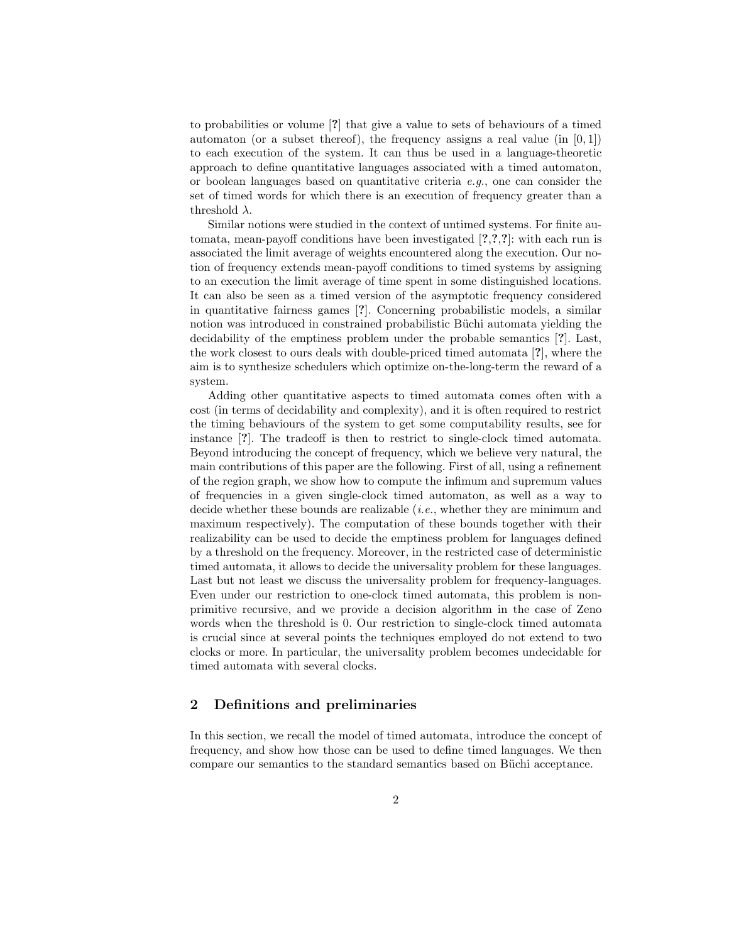to probabilities or volume [?] that give a value to sets of behaviours of a timed automaton (or a subset thereof), the frequency assigns a real value (in  $[0, 1]$ ) to each execution of the system. It can thus be used in a language-theoretic approach to define quantitative languages associated with a timed automaton, or boolean languages based on quantitative criteria e.g., one can consider the set of timed words for which there is an execution of frequency greater than a threshold  $\lambda$ .

Similar notions were studied in the context of untimed systems. For finite automata, mean-payoff conditions have been investigated [?,?,?]: with each run is associated the limit average of weights encountered along the execution. Our notion of frequency extends mean-payoff conditions to timed systems by assigning to an execution the limit average of time spent in some distinguished locations. It can also be seen as a timed version of the asymptotic frequency considered in quantitative fairness games [?]. Concerning probabilistic models, a similar notion was introduced in constrained probabilistic Büchi automata yielding the decidability of the emptiness problem under the probable semantics [?]. Last, the work closest to ours deals with double-priced timed automata [?], where the aim is to synthesize schedulers which optimize on-the-long-term the reward of a system.

Adding other quantitative aspects to timed automata comes often with a cost (in terms of decidability and complexity), and it is often required to restrict the timing behaviours of the system to get some computability results, see for instance [?]. The tradeoff is then to restrict to single-clock timed automata. Beyond introducing the concept of frequency, which we believe very natural, the main contributions of this paper are the following. First of all, using a refinement of the region graph, we show how to compute the infimum and supremum values of frequencies in a given single-clock timed automaton, as well as a way to decide whether these bounds are realizable *(i.e., whether they are minimum and* maximum respectively). The computation of these bounds together with their realizability can be used to decide the emptiness problem for languages defined by a threshold on the frequency. Moreover, in the restricted case of deterministic timed automata, it allows to decide the universality problem for these languages. Last but not least we discuss the universality problem for frequency-languages. Even under our restriction to one-clock timed automata, this problem is nonprimitive recursive, and we provide a decision algorithm in the case of Zeno words when the threshold is 0. Our restriction to single-clock timed automata is crucial since at several points the techniques employed do not extend to two clocks or more. In particular, the universality problem becomes undecidable for timed automata with several clocks.

### 2 Definitions and preliminaries

In this section, we recall the model of timed automata, introduce the concept of frequency, and show how those can be used to define timed languages. We then compare our semantics to the standard semantics based on Büchi acceptance.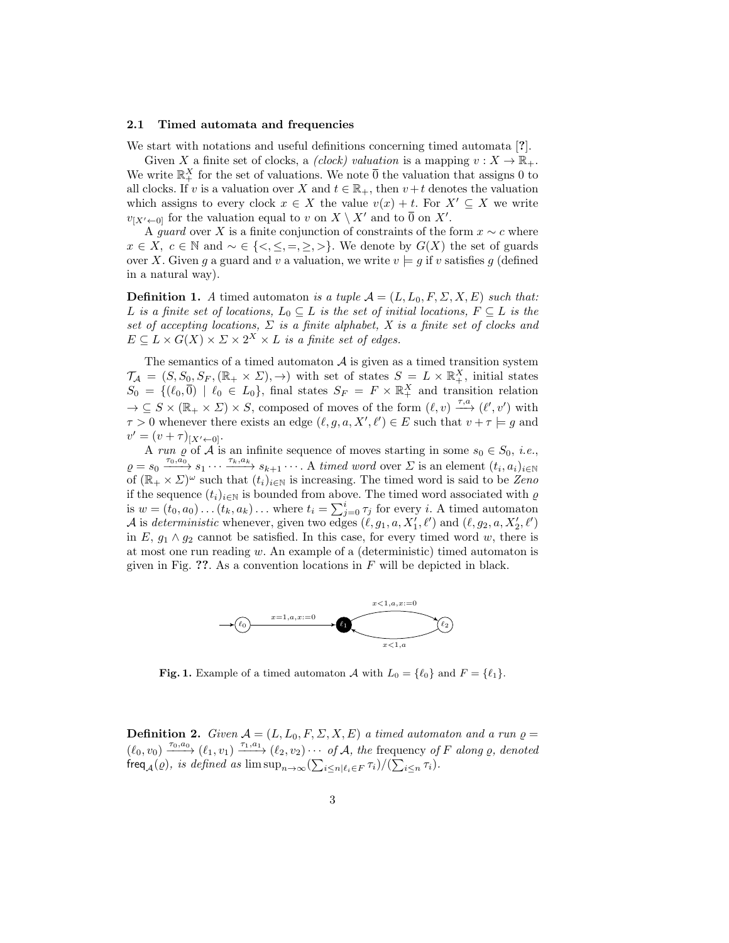#### 2.1 Timed automata and frequencies

We start with notations and useful definitions concerning timed automata [?].

Given X a finite set of clocks, a *(clock)* valuation is a mapping  $v: X \to \mathbb{R}_+$ . We write  $\mathbb{R}^X_+$  for the set of valuations. We note  $\overline{0}$  the valuation that assigns 0 to all clocks. If v is a valuation over X and  $t \in \mathbb{R}_+$ , then  $v + t$  denotes the valuation which assigns to every clock  $x \in X$  the value  $v(x) + t$ . For  $X' \subseteq X$  we write  $v_{[X' \leftarrow 0]}$  for the valuation equal to v on  $X \setminus X'$  and to  $\overline{0}$  on X'.

A guard over X is a finite conjunction of constraints of the form  $x \sim c$  where  $x \in X$ ,  $c \in \mathbb{N}$  and  $\sim \in \{ \leq, \leq, =, \geq, \geq \}$ . We denote by  $G(X)$  the set of guards over X. Given g a guard and v a valuation, we write  $v \models g$  if v satisfies g (defined in a natural way).

**Definition 1.** A timed automaton is a tuple  $\mathcal{A} = (L, L_0, F, \Sigma, X, E)$  such that: L is a finite set of locations,  $L_0 \subseteq L$  is the set of initial locations,  $F \subseteq L$  is the set of accepting locations,  $\Sigma$  is a finite alphabet,  $X$  is a finite set of clocks and  $E \subseteq L \times G(X) \times \Sigma \times 2^X \times L$  is a finite set of edges.

The semantics of a timed automaton  $A$  is given as a timed transition system  $\mathcal{T}_{\mathcal{A}} = (S, S_0, S_F, (\mathbb{R}_+ \times \Sigma), \rightarrow)$  with set of states  $S = L \times \mathbb{R}^X_+$ , initial states  $S_0 = \{(\ell_0, \overline{0}) \mid \ell_0 \in L_0\}$ , final states  $S_F = F \times \mathbb{R}^X_+$  and transition relation  $\to \subseteq S \times (\mathbb{R}_+ \times \Sigma) \times S$ , composed of moves of the form  $(\ell, v) \xrightarrow{\tau, a} (\ell', v')$  with  $\tau > 0$  whenever there exists an edge  $(\ell, g, a, X', \ell') \in E$  such that  $v + \tau \models g$  and  $v' = (v + \tau)_{[X' \leftarrow 0]}$ .

A run  $\varrho$  of A is an infinite sequence of moves starting in some  $s_0 \in S_0$ , *i.e.*,  $\rho = s_0 \xrightarrow{\tau_0, a_0} s_1 \cdots \xrightarrow{\tau_k, a_k} s_{k+1} \cdots$ . A timed word over  $\Sigma$  is an element  $(t_i, a_i)_{i \in \mathbb{N}}$ of  $(\mathbb{R}_+ \times \Sigma)^\omega$  such that  $(t_i)_{i \in \mathbb{N}}$  is increasing. The timed word is said to be Zeno if the sequence  $(t_i)_{i\in\mathbb{N}}$  is bounded from above. The timed word associated with  $\varrho$ is  $w = (t_0, a_0) \dots (t_k, a_k) \dots$  where  $t_i = \sum_{j=0}^i \tau_j$  for every i. A timed automaton A is deterministic whenever, given two edges  $(\ell, g_1, a, X'_1, \ell')$  and  $(\ell, g_2, a, X'_2, \ell')$ in E,  $g_1 \wedge g_2$  cannot be satisfied. In this case, for every timed word w, there is at most one run reading  $w$ . An example of a (deterministic) timed automaton is given in Fig.  $\mathbf{??}$ . As a convention locations in F will be depicted in black.



**Fig. 1.** Example of a timed automaton A with  $L_0 = \{\ell_0\}$  and  $F = \{\ell_1\}.$ 

**Definition 2.** Given  $A = (L, L_0, F, \Sigma, X, E)$  a timed automaton and a run  $\rho =$  $(\ell_0, v_0) \xrightarrow{\tau_0, a_0} (\ell_1, v_1) \xrightarrow{\tau_1, a_1} (\ell_2, v_2) \cdots$  of A, the frequency of F along  $\rho$ , denoted freq<sub>A</sub>( $\varrho$ ), is defined as  $\limsup_{n\to\infty} (\sum_{i\leq n|\ell_i\in F} \tau_i)/(\sum_{i\leq n} \tau_i)$ .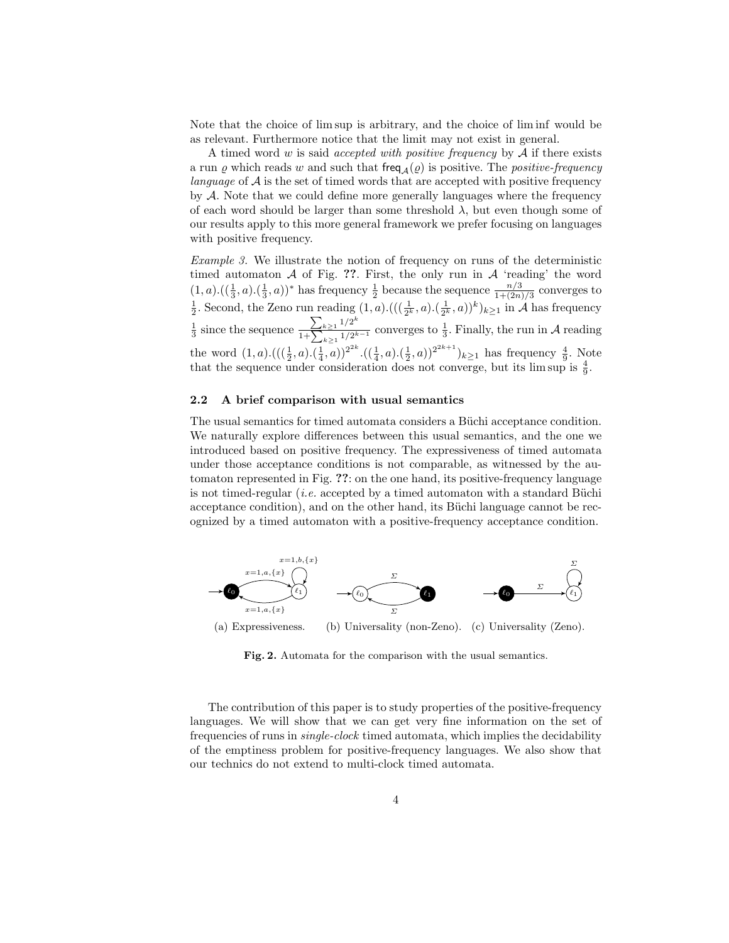Note that the choice of lim sup is arbitrary, and the choice of lim inf would be as relevant. Furthermore notice that the limit may not exist in general.

A timed word w is said accepted with positive frequency by  $A$  if there exists a run  $\varrho$  which reads w and such that freq<sub>A</sub>( $\varrho$ ) is positive. The *positive-frequency* language of  $A$  is the set of timed words that are accepted with positive frequency by  $A$ . Note that we could define more generally languages where the frequency of each word should be larger than some threshold  $\lambda$ , but even though some of our results apply to this more general framework we prefer focusing on languages with positive frequency.

Example 3. We illustrate the notion of frequency on runs of the deterministic timed automaton  $A$  of Fig. ??. First, the only run in  $A$  'reading' the word  $(1, a) . ((\frac{1}{3}, a) . (\frac{1}{3}, a))^*$  has frequency  $\frac{1}{2}$  because the sequence  $\frac{n/3}{1+(2n)/3}$  converges to  $\frac{1}{2}$ . Second, the Zeno run reading  $(1, a) \cdot ((\frac{1}{2^k}, a) \cdot (\frac{1}{2^k}, a))^k_{k \geq 1}$  in A has frequency  $\frac{1}{3}$  since the sequence  $\frac{\sum_{k\geq 1} 1/2^k}{1+\sum_{k\geq 1} 1/2^k}$  $\frac{\sum_{k\geq 1} 1/2}{1+\sum_{k\geq 1} 1/2^{k-1}}$  converges to  $\frac{1}{3}$ . Finally, the run in A reading the word  $(1, a) \cdot ((\frac{1}{2}, a) \cdot (\frac{1}{4}, a))^{2^{2k}} \cdot ((\frac{1}{4}, a) \cdot (\frac{1}{2}, a))^{2^{2k+1}})_{k \geq 1}$  has frequency  $\frac{4}{9}$ . Note that the sequence under consideration does not converge, but its  $\limsup$  is  $\frac{4}{9}$ .

#### 2.2 A brief comparison with usual semantics

The usual semantics for timed automata considers a Büchi acceptance condition. We naturally explore differences between this usual semantics, and the one we introduced based on positive frequency. The expressiveness of timed automata under those acceptance conditions is not comparable, as witnessed by the automaton represented in Fig. ??: on the one hand, its positive-frequency language is not timed-regular (*i.e.* accepted by a timed automaton with a standard Büchi acceptance condition), and on the other hand, its Büchi language cannot be recognized by a timed automaton with a positive-frequency acceptance condition.



Fig. 2. Automata for the comparison with the usual semantics.

The contribution of this paper is to study properties of the positive-frequency languages. We will show that we can get very fine information on the set of frequencies of runs in single-clock timed automata, which implies the decidability of the emptiness problem for positive-frequency languages. We also show that our technics do not extend to multi-clock timed automata.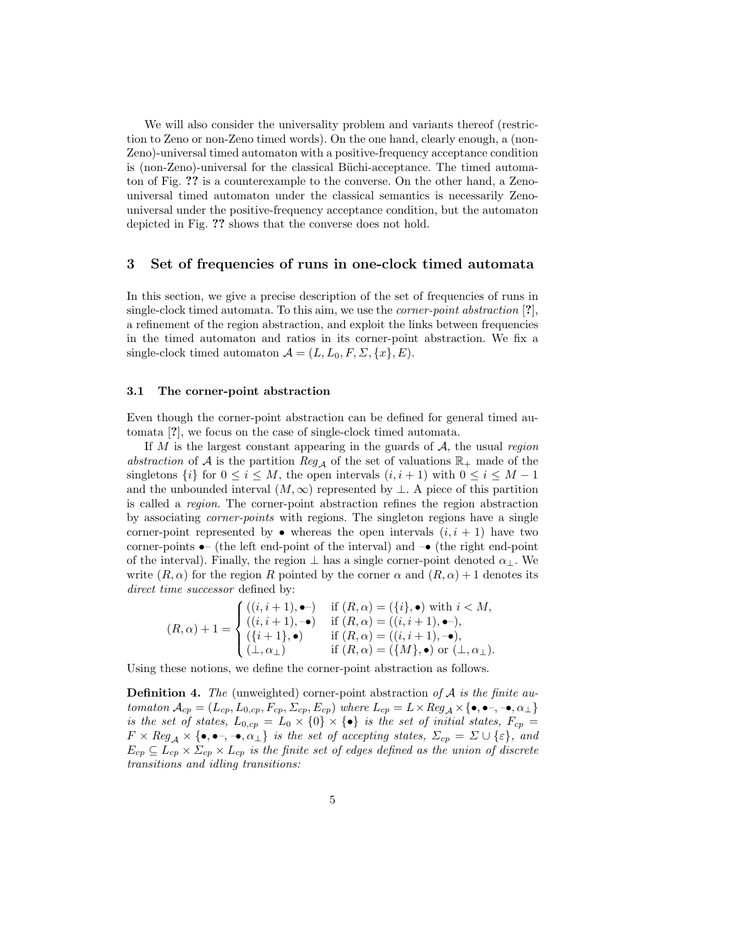We will also consider the universality problem and variants thereof (restriction to Zeno or non-Zeno timed words). On the one hand, clearly enough, a (non-Zeno)-universal timed automaton with a positive-frequency acceptance condition is (non-Zeno)-universal for the classical Büchi-acceptance. The timed automaton of Fig. ?? is a counterexample to the converse. On the other hand, a Zenouniversal timed automaton under the classical semantics is necessarily Zenouniversal under the positive-frequency acceptance condition, but the automaton depicted in Fig. ?? shows that the converse does not hold.

### 3 Set of frequencies of runs in one-clock timed automata

In this section, we give a precise description of the set of frequencies of runs in single-clock timed automata. To this aim, we use the *corner-point abstraction* [?], a refinement of the region abstraction, and exploit the links between frequencies in the timed automaton and ratios in its corner-point abstraction. We fix a single-clock timed automaton  $\mathcal{A} = (L, L_0, F, \Sigma, \{x\}, E)$ .

#### 3.1 The corner-point abstraction

Even though the corner-point abstraction can be defined for general timed automata [?], we focus on the case of single-clock timed automata.

If  $M$  is the largest constant appearing in the guards of  $A$ , the usual region abstraction of A is the partition  $Reg_A$  of the set of valuations  $\mathbb{R}_+$  made of the singletons  $\{i\}$  for  $0 \le i \le M$ , the open intervals  $(i, i + 1)$  with  $0 \le i \le M - 1$ and the unbounded interval  $(M, \infty)$  represented by  $\perp$ . A piece of this partition is called a region. The corner-point abstraction refines the region abstraction by associating corner-points with regions. The singleton regions have a single corner-point represented by  $\bullet$  whereas the open intervals  $(i, i + 1)$  have two corner-points  $\bullet$  (the left end-point of the interval) and  $\bullet$  (the right end-point of the interval). Finally, the region  $\perp$  has a single corner-point denoted  $\alpha_{\perp}$ . We write  $(R, \alpha)$  for the region R pointed by the corner  $\alpha$  and  $(R, \alpha) + 1$  denotes its direct time successor defined by:

$$
(R,\alpha)+1=\begin{cases}((i,i+1),\bullet-)&\text{if }(R,\alpha)=(\{i\},\bullet)\text{ with }i
$$

Using these notions, we define the corner-point abstraction as follows.

**Definition 4.** The (unweighted) corner-point abstraction of  $A$  is the finite automaton  $\mathcal{A}_{cp} = (L_{cp}, L_{0,cp}, F_{cp}, \Sigma_{cp}, E_{cp})$  where  $L_{cp} = L \times Reg_A \times {\{\bullet, \bullet\}}, \neg, \neg, \alpha_{\perp}\}$ is the set of states,  $L_{0,cp} = L_0 \times \{0\} \times \{\bullet\}$  is the set of initial states,  $F_{cp} =$  $F \times Reg_A \times {\{\bullet, \bullet^-, \bullet, \alpha_\perp\}}$  is the set of accepting states,  $\Sigma_{cp} = \Sigma \cup {\{\epsilon\}},$  and  $E_{cp} \subseteq L_{cp} \times \Sigma_{cp} \times L_{cp}$  is the finite set of edges defined as the union of discrete transitions and idling transitions: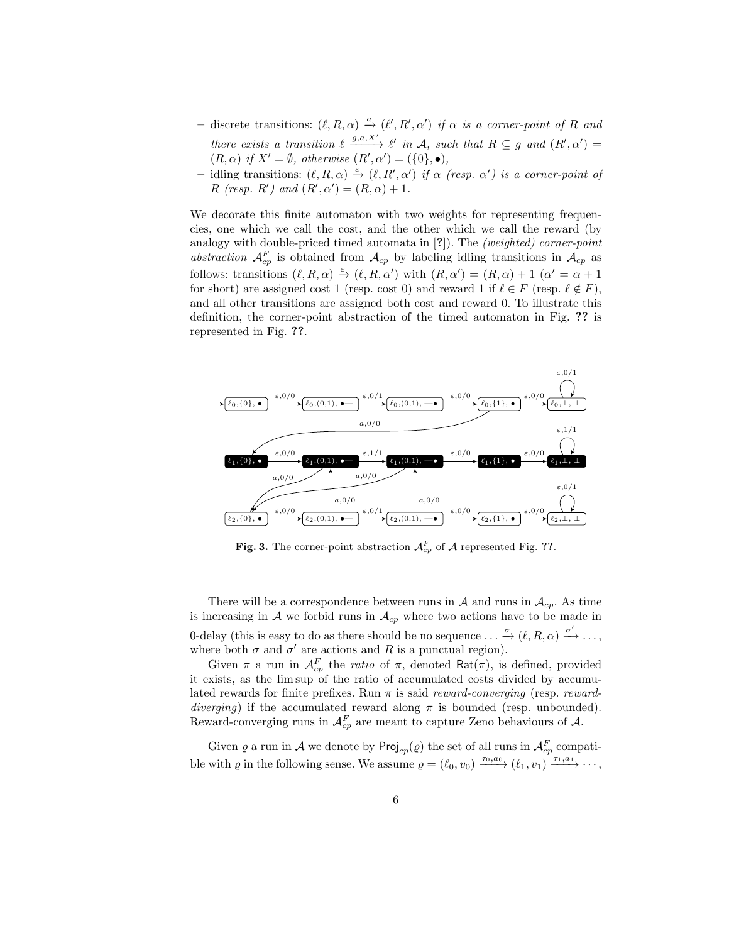- − discrete transitions:  $(\ell, R, \alpha) \stackrel{a}{\rightarrow} (\ell', R', \alpha')$  if  $\alpha$  is a corner-point of R and there exists a transition  $\ell \stackrel{g,a,X'}{\longrightarrow} \ell'$  in A, such that  $R \subseteq g$  and  $(R', \alpha') =$  $(R, \alpha)$  if  $X' = \emptyset$ , otherwise  $(R', \alpha') = (\{0\}, \bullet),$
- $-$  idling transitions:  $(\ell, R, \alpha) \stackrel{\varepsilon}{\rightarrow} (\ell, R', \alpha')$  if α (resp. α') is a corner-point of  $R$  (resp.  $R'$ ) and  $(R', \alpha') = (R, \alpha) + 1$ .

We decorate this finite automaton with two weights for representing frequencies, one which we call the cost, and the other which we call the reward (by analogy with double-priced timed automata in [?]). The (weighted) corner-point abstraction  $\mathcal{A}_{cp}^F$  is obtained from  $\mathcal{A}_{cp}$  by labeling idling transitions in  $\mathcal{A}_{cp}$  as follows: transitions  $(\ell, R, \alpha) \stackrel{\varepsilon}{\rightarrow} (\ell, R, \alpha')$  with  $(R, \alpha') = (R, \alpha) + 1$   $(\alpha' = \alpha + 1)$ for short) are assigned cost 1 (resp. cost 0) and reward 1 if  $\ell \in F$  (resp.  $\ell \notin F$ ), and all other transitions are assigned both cost and reward 0. To illustrate this definition, the corner-point abstraction of the timed automaton in Fig. ?? is represented in Fig. ??.



**Fig. 3.** The corner-point abstraction  $\mathcal{A}_{cp}^F$  of  $\mathcal A$  represented Fig. ??.

There will be a correspondence between runs in  $A$  and runs in  $A_{cp}$ . As time is increasing in A we forbid runs in  $A_{cp}$  where two actions have to be made in 0-delay (this is easy to do as there should be no sequence  $\dots \xrightarrow{\sigma} (\ell, R, \alpha) \xrightarrow{\sigma'} \dots$ , where both  $\sigma$  and  $\sigma'$  are actions and R is a punctual region).

Given  $\pi$  a run in  $\mathcal{A}_{cp}^F$  the *ratio* of  $\pi$ , denoted  $\textsf{Rat}(\pi)$ , is defined, provided it exists, as the lim sup of the ratio of accumulated costs divided by accumulated rewards for finite prefixes. Run  $\pi$  is said *reward-converging* (resp. *reward*diverging) if the accumulated reward along  $\pi$  is bounded (resp. unbounded). Reward-converging runs in  $\mathcal{A}_{cp}^F$  are meant to capture Zeno behaviours of  $\mathcal{A}$ .

Given  $\varrho$  a run in A we denote by  $\mathsf{Proj}_{cp}(\varrho)$  the set of all runs in  $\mathcal{A}_{cp}^F$  compatible with  $\varrho$  in the following sense. We assume  $\varrho = (\ell_0, v_0) \xrightarrow{\tau_0, a_0} (\ell_1, v_1) \xrightarrow{\tau_1, a_1} \cdots$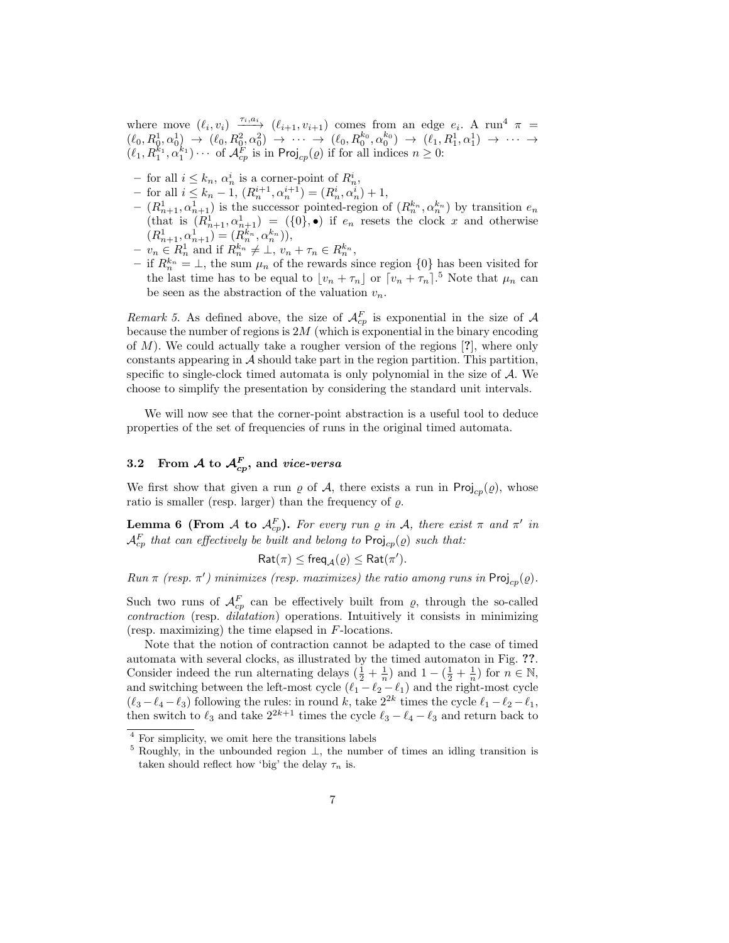where move  $(\ell_i, v_i) \xrightarrow{\tau_i, a_i} (\ell_{i+1}, v_{i+1})$  comes from an edge  $e_i$ . A run<sup>4</sup>  $\pi$  =  $(\ell_0, R_0^1, \alpha_0^1) \rightarrow (\ell_0, R_0^2, \alpha_0^2) \rightarrow \cdots \rightarrow (\ell_0, R_0^{k_0}, \alpha_0^{k_0}) \rightarrow (\ell_1, R_1^1, \alpha_1^1) \rightarrow \cdots \rightarrow$  $(\ell_1, R_1^{k_1}, \alpha_1^{k_1}) \cdots$  of  $\mathcal{A}_{cp}^F$  is in Proj<sub>cp</sub>( $\varrho$ ) if for all indices  $n \geq 0$ :

- for all  $i \leq k_n$ ,  $\alpha_n^i$  is a corner-point of  $R_n^i$ ,
- for all  $i \leq k_n 1$ ,  $(R_n^{i+1}, \alpha_n^{i+1}) = (R_n^i, \alpha_n^i) + 1$ ,
- $-(R_{n+1}^1, \alpha_{n+1}^1)$  is the successor pointed-region of  $(R_n^{k_n}, \alpha_n^{k_n})$  by transition  $e_n$ (that is  $(R_{n+1}^1, \alpha_{n+1}^1) = (\{0\}, \bullet)$  if  $e_n$  resets the clock x and otherwise  $(R_{n+1}^1, \alpha_{n+1}^1) = (R_n^{k_n}, \alpha_n^{k_n})),$
- $v_n \in R_n^1$  and if  $R_n^{k_n} \neq \bot$ ,  $v_n + \tau_n \in R_n^{k_n}$ ,
- $−$  if  $R_n^{k_n} = \bot$ , the sum  $\mu_n$  of the rewards since region  $\{0\}$  has been visited for the last time has to be equal to  $\lfloor v_n + \tau_n \rfloor$  or  $\lceil v_n + \tau_n \rceil$ .<sup>5</sup> Note that  $\mu_n$  can be seen as the abstraction of the valuation  $v_n$ .

Remark 5. As defined above, the size of  $\mathcal{A}_{cp}^F$  is exponential in the size of A because the number of regions is  $2M$  (which is exponential in the binary encoding of  $M$ ). We could actually take a rougher version of the regions  $[?]$ , where only constants appearing in  $A$  should take part in the region partition. This partition, specific to single-clock timed automata is only polynomial in the size of  $A$ . We choose to simplify the presentation by considering the standard unit intervals.

We will now see that the corner-point abstraction is a useful tool to deduce properties of the set of frequencies of runs in the original timed automata.

# $3.2 \quad \text{From} \; \mathcal{A} \; \text{to} \; \mathcal{A}_{cp}^F, \, \text{and} \; vice-versa$

We first show that given a run  $\varrho$  of A, there exists a run in Proj<sub>cp</sub>( $\varrho$ ), whose ratio is smaller (resp. larger) than the frequency of  $\rho$ .

**Lemma 6** (From A to  $\mathcal{A}_{cp}^F$ ). For every run  $\varrho$  in A, there exist  $\pi$  and  $\pi'$  in  $\mathcal{A}_{cp}^F$  that can effectively be built and belong to  $\mathsf{Proj}_{cp}(\varrho)$  such that:

$$
\mathsf{Rat}(\pi)\leq \mathsf{freq}_\mathcal{A}(\varrho)\leq \mathsf{Rat}(\pi').
$$

Run  $\pi$  (resp.  $\pi'$ ) minimizes (resp. maximizes) the ratio among runs in  $\text{Proj}_{cp}(\varrho)$ .

Such two runs of  $\mathcal{A}_{cp}^F$  can be effectively built from  $\varrho$ , through the so-called contraction (resp. dilatation) operations. Intuitively it consists in minimizing (resp. maximizing) the time elapsed in F-locations.

Note that the notion of contraction cannot be adapted to the case of timed automata with several clocks, as illustrated by the timed automaton in Fig. ??. Consider indeed the run alternating delays  $(\frac{1}{2} + \frac{1}{n})$  and  $1 - (\frac{1}{2} + \frac{1}{n})$  for  $n \in \mathbb{N}$ , and switching between the left-most cycle  $(\ell_1 - \ell_2 - \ell_1)$  and the right-most cycle  $(\ell_3 - \ell_4 - \ell_3)$  following the rules: in round k, take  $2^{2k}$  times the cycle  $\ell_1 - \ell_2 - \ell_1$ , then switch to  $\ell_3$  and take  $2^{2k+1}$  times the cycle  $\ell_3 - \ell_4 - \ell_3$  and return back to

<sup>4</sup> For simplicity, we omit here the transitions labels

<sup>&</sup>lt;sup>5</sup> Roughly, in the unbounded region  $\perp$ , the number of times an idling transition is taken should reflect how 'big' the delay  $\tau_n$  is.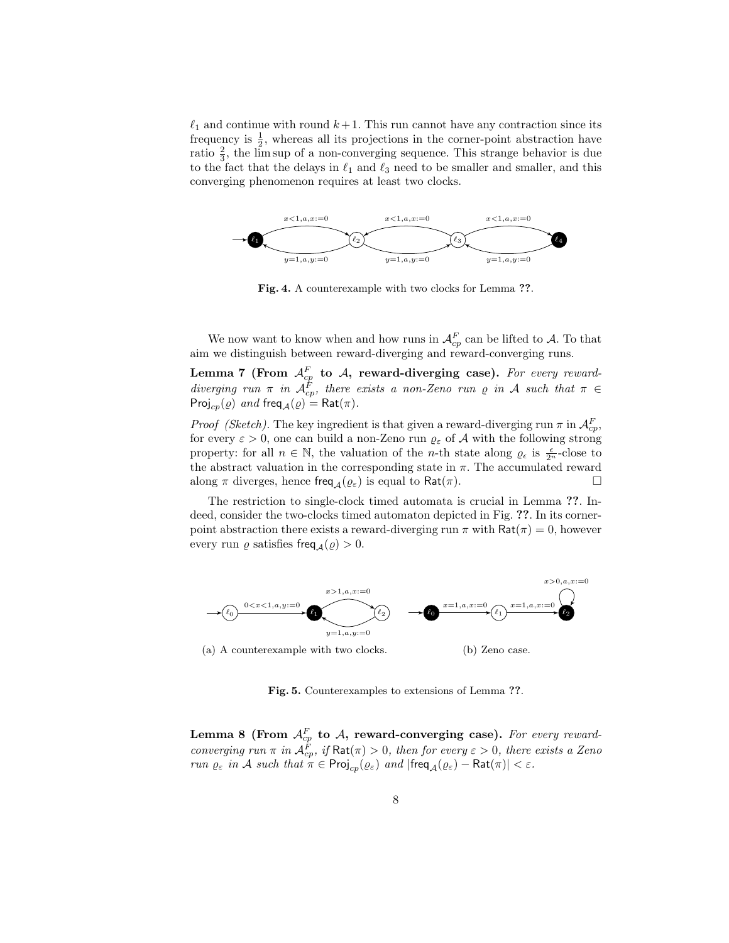$\ell_1$  and continue with round  $k + 1$ . This run cannot have any contraction since its frequency is  $\frac{1}{2}$ , whereas all its projections in the corner-point abstraction have ratio  $\frac{2}{3}$ , the lim sup of a non-converging sequence. This strange behavior is due to the fact that the delays in  $\ell_1$  and  $\ell_3$  need to be smaller and smaller, and this converging phenomenon requires at least two clocks.



Fig. 4. A counterexample with two clocks for Lemma ??.

We now want to know when and how runs in  $\mathcal{A}_{cp}^F$  can be lifted to A. To that aim we distinguish between reward-diverging and reward-converging runs.

Lemma 7 (From  $\mathcal{A}_{cp}^F$  to  $\mathcal{A}$ , reward-diverging case). For every rewarddiverging run  $\pi$  in  $\mathcal{A}_{cp}^F$ , there exists a non-Zeno run  $\rho$  in  $\mathcal A$  such that  $\pi \in$ Proj<sub>cp</sub> $(\varrho)$  and freq<sub>A</sub> $(\varrho)$  = Rat $(\pi)$ .

*Proof (Sketch)*. The key ingredient is that given a reward-diverging run  $\pi$  in  $\mathcal{A}_{cp}^F$ , for every  $\varepsilon > 0$ , one can build a non-Zeno run  $\rho_{\varepsilon}$  of A with the following strong property: for all  $n \in \mathbb{N}$ , the valuation of the *n*-th state along  $\rho_{\epsilon}$  is  $\frac{\epsilon}{2^n}$ -close to the abstract valuation in the corresponding state in  $\pi$ . The accumulated reward along  $\pi$  diverges, hence freq<sub>A</sub>( $\varrho_{\varepsilon}$ ) is equal to Rat( $\pi$ ).

The restriction to single-clock timed automata is crucial in Lemma ??. Indeed, consider the two-clocks timed automaton depicted in Fig. ??. In its cornerpoint abstraction there exists a reward-diverging run  $\pi$  with  $\text{Rat}(\pi) = 0$ , however every run  $\varrho$  satisfies freq<sub>A</sub>( $\varrho$ ) > 0.



Fig. 5. Counterexamples to extensions of Lemma ??.

Lemma 8 (From  $\mathcal{A}^F_{cp}$  to  $\mathcal{A}$ , reward-converging case). For every rewardconverging run  $\pi$  in  $\mathcal{A}_{cp}^F$ , if  $\text{Rat}(\pi) > 0$ , then for every  $\varepsilon > 0$ , there exists a Zeno run  $\varrho_{\varepsilon}$  in A such that  $\pi \in \text{Proj}_{cp}(\varrho_{\varepsilon})$  and  $|\text{freq}_{\mathcal{A}}(\varrho_{\varepsilon}) - \text{Rat}(\pi)| < \varepsilon$ .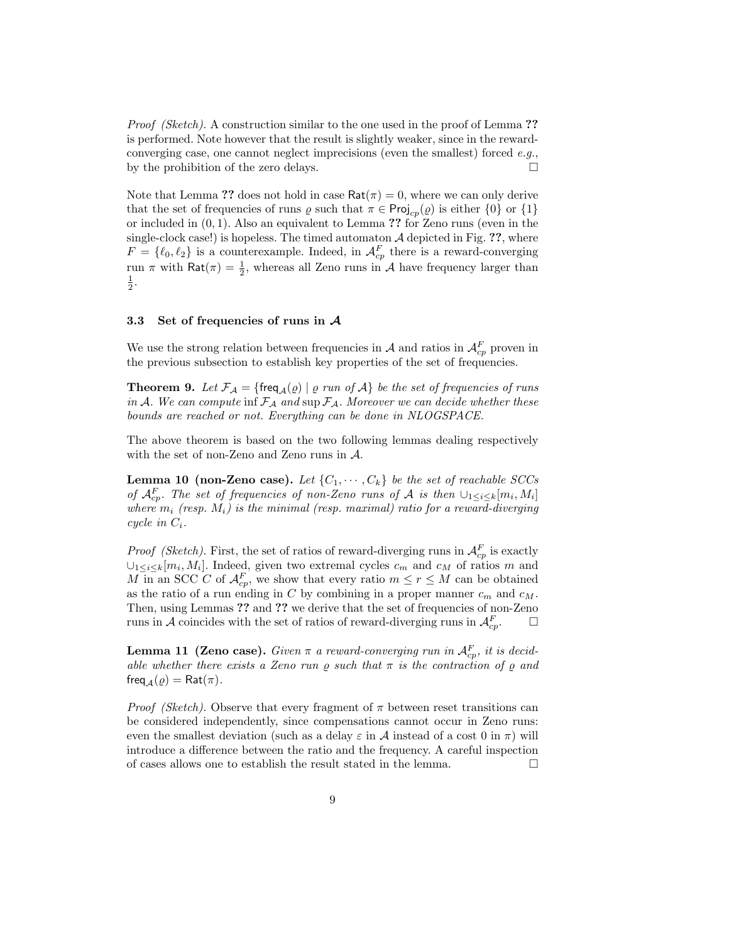Proof (Sketch). A construction similar to the one used in the proof of Lemma ?? is performed. Note however that the result is slightly weaker, since in the rewardconverging case, one cannot neglect imprecisions (even the smallest) forced  $e.g.,$ by the prohibition of the zero delays.  $\square$ 

Note that Lemma ?? does not hold in case  $\text{Rat}(\pi) = 0$ , where we can only derive that the set of frequencies of runs  $\varrho$  such that  $\pi \in \text{Proj}_{cp}(\varrho)$  is either  $\{0\}$  or  $\{1\}$ or included in  $(0, 1)$ . Also an equivalent to Lemma ?? for Zeno runs (even in the single-clock case!) is hopeless. The timed automaton  $A$  depicted in Fig. ??, where  $F = \{\ell_0, \ell_2\}$  is a counterexample. Indeed, in  $\mathcal{A}_{cp}^F$  there is a reward-converging run  $\pi$  with Rat $(\pi) = \frac{1}{2}$ , whereas all Zeno runs in A have frequency larger than  $\frac{1}{2}$ .

#### 3.3 Set of frequencies of runs in  $A$

We use the strong relation between frequencies in  $A$  and ratios in  $\mathcal{A}_{cp}^F$  proven in the previous subsection to establish key properties of the set of frequencies.

**Theorem 9.** Let  $\mathcal{F}_\mathcal{A} = \{ \text{freq}_\mathcal{A}(\varrho) \mid \varrho \text{ run of } \mathcal{A} \}$  be the set of frequencies of runs in A. We can compute  $\inf \mathcal{F}_A$  and  $\sup \mathcal{F}_A$ . Moreover we can decide whether these bounds are reached or not. Everything can be done in NLOGSPACE.

The above theorem is based on the two following lemmas dealing respectively with the set of non-Zeno and Zeno runs in A.

**Lemma 10 (non-Zeno case).** Let  $\{C_1, \dots, C_k\}$  be the set of reachable SCCs of  $\mathcal{A}_{cp}^F$ . The set of frequencies of non-Zeno runs of A is then  $\cup_{1\leq i\leq k}[m_i,M_i]$ where  $m_i$  (resp.  $M_i$ ) is the minimal (resp. maximal) ratio for a reward-diverging cycle in  $C_i$ .

*Proof (Sketch)*. First, the set of ratios of reward-diverging runs in  $\mathcal{A}_{cp}^F$  is exactly  $\cup_{1 \leq i \leq k}[m_i, M_i]$ . Indeed, given two extremal cycles  $c_m$  and  $c_M$  of ratios m and M in an SCC C of  $\mathcal{A}_{cp}^F$ , we show that every ratio  $m \leq r \leq M$  can be obtained as the ratio of a run ending in C by combining in a proper manner  $c_m$  and  $c_M$ . Then, using Lemmas ?? and ?? we derive that the set of frequencies of non-Zeno runs in A coincides with the set of ratios of reward-diverging runs in  $\mathcal{A}_{cp}^F$ .

**Lemma 11 (Zeno case).** Given  $\pi$  a reward-converging run in  $\mathcal{A}_{cp}^F$ , it is decidable whether there exists a Zeno run  $\rho$  such that  $\pi$  is the contraction of  $\rho$  and  $freq_{\mathcal{A}}(\varrho) = Rat(\pi).$ 

*Proof (Sketch)*. Observe that every fragment of  $\pi$  between reset transitions can be considered independently, since compensations cannot occur in Zeno runs: even the smallest deviation (such as a delay  $\varepsilon$  in A instead of a cost 0 in  $\pi$ ) will introduce a difference between the ratio and the frequency. A careful inspection of cases allows one to establish the result stated in the lemma.  $\Box$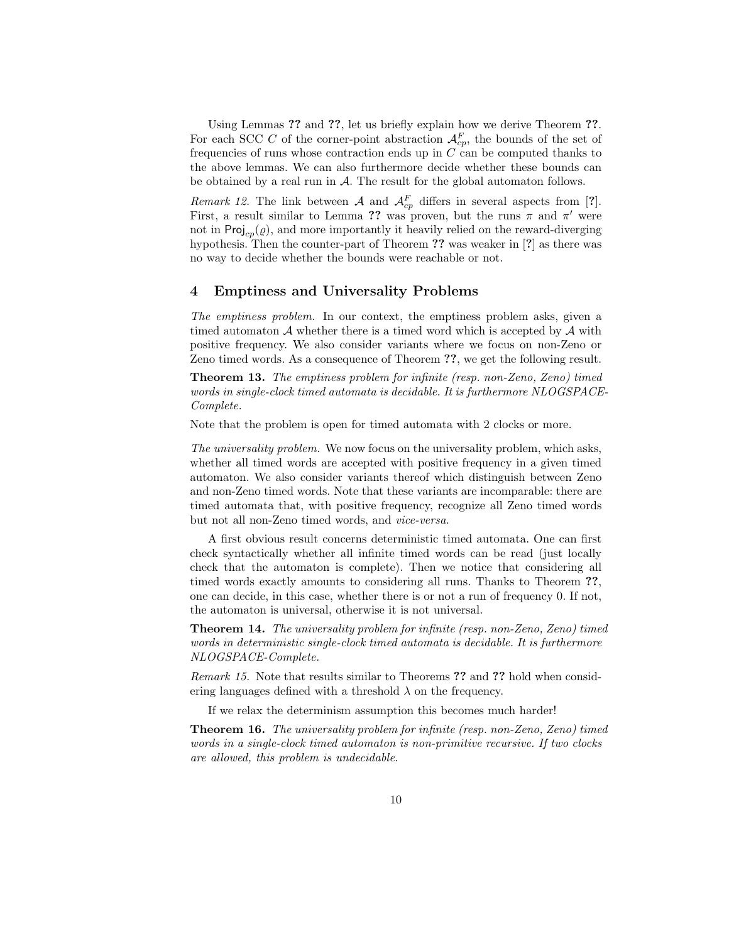Using Lemmas ?? and ??, let us briefly explain how we derive Theorem ??. For each SCC C of the corner-point abstraction  $\mathcal{A}_{cp}^F$ , the bounds of the set of frequencies of runs whose contraction ends up in  $C$  can be computed thanks to the above lemmas. We can also furthermore decide whether these bounds can be obtained by a real run in A. The result for the global automaton follows.

Remark 12. The link between A and  $\mathcal{A}_{cp}^F$  differs in several aspects from [?]. First, a result similar to Lemma ?? was proven, but the runs  $\pi$  and  $\pi'$  were not in  $\text{Proj}_{\text{CD}}(\varrho)$ , and more importantly it heavily relied on the reward-diverging hypothesis. Then the counter-part of Theorem ?? was weaker in [?] as there was no way to decide whether the bounds were reachable or not.

### 4 Emptiness and Universality Problems

The emptiness problem. In our context, the emptiness problem asks, given a timed automaton  $A$  whether there is a timed word which is accepted by  $A$  with positive frequency. We also consider variants where we focus on non-Zeno or Zeno timed words. As a consequence of Theorem ??, we get the following result.

Theorem 13. The emptiness problem for infinite (resp. non-Zeno, Zeno) timed words in single-clock timed automata is decidable. It is furthermore NLOGSPACE-Complete.

Note that the problem is open for timed automata with 2 clocks or more.

The universality problem. We now focus on the universality problem, which asks, whether all timed words are accepted with positive frequency in a given timed automaton. We also consider variants thereof which distinguish between Zeno and non-Zeno timed words. Note that these variants are incomparable: there are timed automata that, with positive frequency, recognize all Zeno timed words but not all non-Zeno timed words, and vice-versa.

A first obvious result concerns deterministic timed automata. One can first check syntactically whether all infinite timed words can be read (just locally check that the automaton is complete). Then we notice that considering all timed words exactly amounts to considering all runs. Thanks to Theorem ??, one can decide, in this case, whether there is or not a run of frequency 0. If not, the automaton is universal, otherwise it is not universal.

Theorem 14. The universality problem for infinite (resp. non-Zeno, Zeno) timed words in deterministic single-clock timed automata is decidable. It is furthermore NLOGSPACE-Complete.

Remark 15. Note that results similar to Theorems ?? and ?? hold when considering languages defined with a threshold  $\lambda$  on the frequency.

If we relax the determinism assumption this becomes much harder!

Theorem 16. The universality problem for infinite (resp. non-Zeno, Zeno) timed words in a single-clock timed automaton is non-primitive recursive. If two clocks are allowed, this problem is undecidable.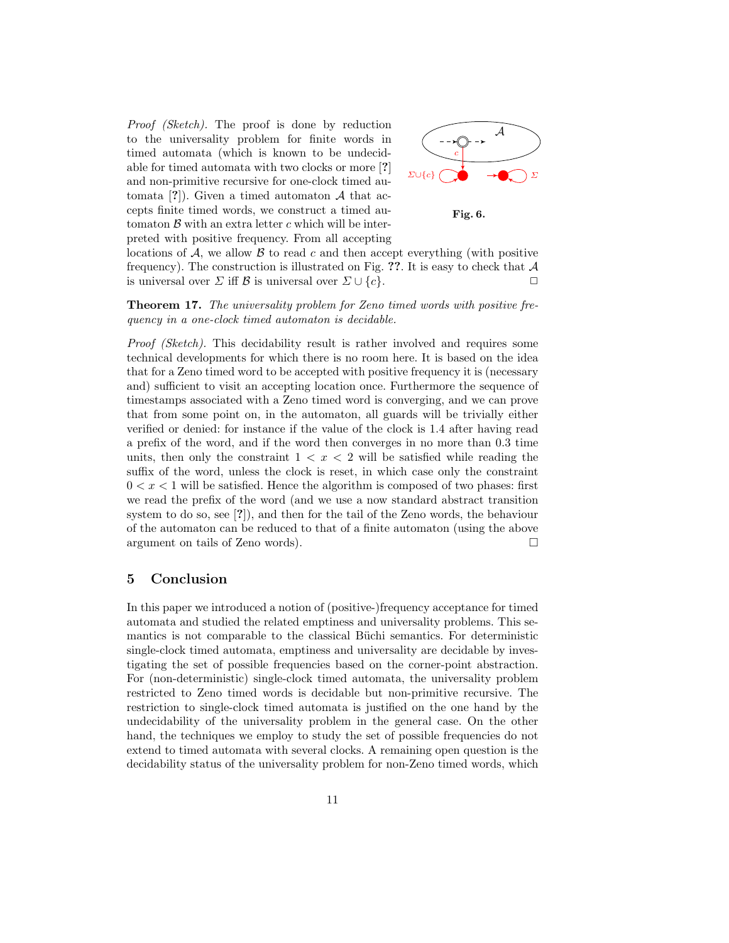Proof (Sketch). The proof is done by reduction to the universality problem for finite words in timed automata (which is known to be undecidable for timed automata with two clocks or more [?] and non-primitive recursive for one-clock timed automata [?]). Given a timed automaton  $A$  that accepts finite timed words, we construct a timed automaton  $\beta$  with an extra letter c which will be interpreted with positive frequency. From all accepting



locations of  $A$ , we allow  $B$  to read c and then accept everything (with positive frequency). The construction is illustrated on Fig. ??. It is easy to check that  $A$ is universal over  $\Sigma$  iff  $\mathcal B$  is universal over  $\Sigma \cup \{c\}$ .

Theorem 17. The universality problem for Zeno timed words with positive frequency in a one-clock timed automaton is decidable.

Proof (Sketch). This decidability result is rather involved and requires some technical developments for which there is no room here. It is based on the idea that for a Zeno timed word to be accepted with positive frequency it is (necessary and) sufficient to visit an accepting location once. Furthermore the sequence of timestamps associated with a Zeno timed word is converging, and we can prove that from some point on, in the automaton, all guards will be trivially either verified or denied: for instance if the value of the clock is 1.4 after having read a prefix of the word, and if the word then converges in no more than 0.3 time units, then only the constraint  $1 < x < 2$  will be satisfied while reading the suffix of the word, unless the clock is reset, in which case only the constraint  $0 < x < 1$  will be satisfied. Hence the algorithm is composed of two phases: first we read the prefix of the word (and we use a now standard abstract transition system to do so, see [?]), and then for the tail of the Zeno words, the behaviour of the automaton can be reduced to that of a finite automaton (using the above argument on tails of Zeno words).

## 5 Conclusion

In this paper we introduced a notion of (positive-)frequency acceptance for timed automata and studied the related emptiness and universality problems. This semantics is not comparable to the classical Büchi semantics. For deterministic single-clock timed automata, emptiness and universality are decidable by investigating the set of possible frequencies based on the corner-point abstraction. For (non-deterministic) single-clock timed automata, the universality problem restricted to Zeno timed words is decidable but non-primitive recursive. The restriction to single-clock timed automata is justified on the one hand by the undecidability of the universality problem in the general case. On the other hand, the techniques we employ to study the set of possible frequencies do not extend to timed automata with several clocks. A remaining open question is the decidability status of the universality problem for non-Zeno timed words, which